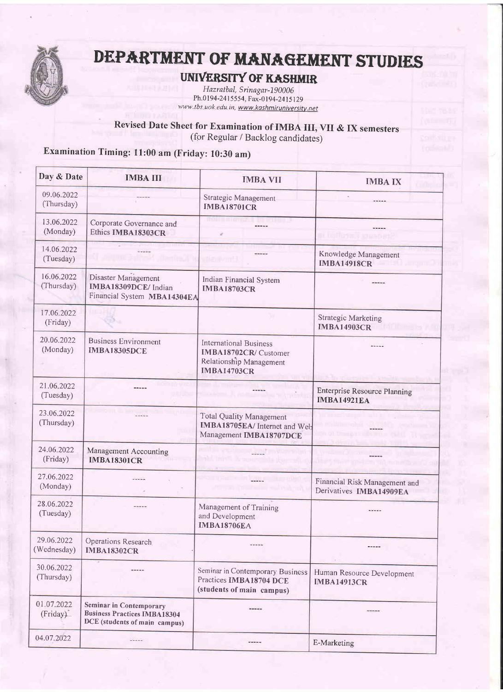

# DEPARTMENT OF MANAGEMENT STUDIES

### UNIVERSITY OF KASHMIR

Hazratbal, Srinagar-190006 Ph.0 19 4-241 5 5 54, F ax-} t9 4 -24 | 5 129

Revised Date Sheet for Examination of IMBA III, VII & IX semesters (for Regular / Backlog candidates)

## Examination Timing: l1:00 am (Friday: 10:30 am)

| Day & Date                | <b>IMBA III</b>                                                                                 | <b>IMBA VII</b>                                                                                         | <b>IMBA IX</b>                                            |
|---------------------------|-------------------------------------------------------------------------------------------------|---------------------------------------------------------------------------------------------------------|-----------------------------------------------------------|
| 09.06.2022<br>(Thursday)  |                                                                                                 | Strategic Management<br><b>IMBA18701CR</b>                                                              |                                                           |
| 13.06.2022<br>(Monday)    | Corporate Governance and<br>Ethics IMBA18303CR                                                  |                                                                                                         | ni imformi i vrustve                                      |
| 14.06.2022<br>(Tuesday)   |                                                                                                 |                                                                                                         | Knowledge Management<br><b>IMBA14918CR</b>                |
| 16.06.2022<br>(Thursday)  | Disaster Management<br>IMBA18309DCE/Indian<br>Financial System MBA14304EA                       | Indian Financial System<br><b>IMBA18703CR</b>                                                           |                                                           |
| 17.06.2022<br>(Friday)    |                                                                                                 |                                                                                                         | <b>Strategic Marketing</b><br><b>IMBA14903CR</b>          |
| 20.06.2022<br>(Monday)    | <b>Business Environment</b><br><b>IMBA18305DCE</b>                                              | <b>International Business</b><br>IMBA18702CR/ Customer<br>Relationship Management<br><b>IMBA14703CR</b> |                                                           |
| 21.06.2022<br>(Tuesday)   |                                                                                                 |                                                                                                         | <b>Enterprise Resource Planning</b><br><b>IMBA14921EA</b> |
| 23.06.2022<br>(Thursday)  |                                                                                                 | <b>Total Quality Management</b><br>IMBA18705EA/ Internet and Web<br>Management IMBA18707DCE             |                                                           |
| 24.06.2022<br>(Friday)    | Management Accounting<br><b>IMBA18301CR</b>                                                     |                                                                                                         |                                                           |
| 27.06.2022<br>(Monday)    |                                                                                                 |                                                                                                         | Financial Risk Management and<br>Derivatives IMBA14909EA  |
| 28.06.2022<br>(Tuesday)   |                                                                                                 | Management of Training<br>and Development<br><b>IMBA18706EA</b>                                         |                                                           |
| 29.06.2022<br>(Wednesday) | Operations Research<br><b>IMBA18302CR</b>                                                       |                                                                                                         | -----                                                     |
| 30.06.2022<br>(Thursday)  |                                                                                                 | Seminar in Contemporary Business<br>Practices IMBA18704 DCE<br>(students of main campus)                | Human Resource Development<br><b>IMBA14913CR</b>          |
| 01.07.2022<br>(Friday)    | Seminar in Contemporary<br><b>Business Practices IMBA18304</b><br>DCE (students of main campus) |                                                                                                         | -----                                                     |
| 04.07.2022                | -----                                                                                           | -----                                                                                                   | E-Marketing                                               |